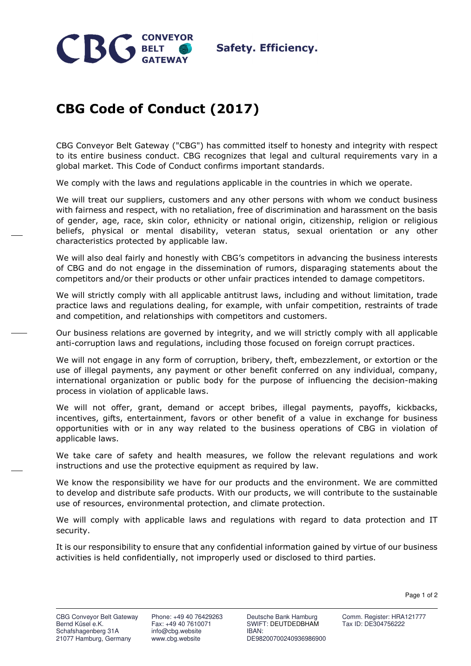

## **CBG Code of Conduct (2017)**

CBG Conveyor Belt Gateway ("CBG") has committed itself to honesty and integrity with respect to its entire business conduct. CBG recognizes that legal and cultural requirements vary in a global market. This Code of Conduct confirms important standards.

We comply with the laws and regulations applicable in the countries in which we operate.

We will treat our suppliers, customers and any other persons with whom we conduct business with fairness and respect, with no retaliation, free of discrimination and harassment on the basis of gender, age, race, skin color, ethnicity or national origin, citizenship, religion or religious beliefs, physical or mental disability, veteran status, sexual orientation or any other characteristics protected by applicable law.

We will also deal fairly and honestly with CBG's competitors in advancing the business interests of CBG and do not engage in the dissemination of rumors, disparaging statements about the competitors and/or their products or other unfair practices intended to damage competitors.

We will strictly comply with all applicable antitrust laws, including and without limitation, trade practice laws and regulations dealing, for example, with unfair competition, restraints of trade and competition, and relationships with competitors and customers.

Our business relations are governed by integrity, and we will strictly comply with all applicable anti-corruption laws and regulations, including those focused on foreign corrupt practices.

We will not engage in any form of corruption, bribery, theft, embezzlement, or extortion or the use of illegal payments, any payment or other benefit conferred on any individual, company, international organization or public body for the purpose of influencing the decision-making process in violation of applicable laws.

We will not offer, grant, demand or accept bribes, illegal payments, payoffs, kickbacks, incentives, gifts, entertainment, favors or other benefit of a value in exchange for business opportunities with or in any way related to the business operations of CBG in violation of applicable laws.

We take care of safety and health measures, we follow the relevant regulations and work instructions and use the protective equipment as required by law.

We know the responsibility we have for our products and the environment. We are committed to develop and distribute safe products. With our products, we will contribute to the sustainable use of resources, environmental protection, and climate protection.

We will comply with applicable laws and regulations with regard to data protection and IT security.

It is our responsibility to ensure that any confidential information gained by virtue of our business activities is held confidentially, not improperly used or disclosed to third parties.

Page 1 of 2